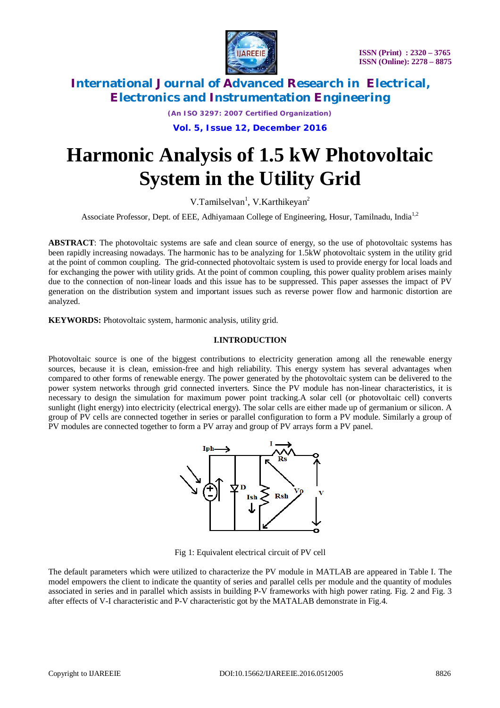

*(An ISO 3297: 2007 Certified Organization)*

**Vol. 5, Issue 12, December 2016**

# **Harmonic Analysis of 1.5 kW Photovoltaic System in the Utility Grid**

V.Tamilselvan<sup>1</sup>, V.Karthikeyan<sup>2</sup>

Associate Professor, Dept. of EEE, Adhiyamaan College of Engineering, Hosur, Tamilnadu, India<sup>1,2</sup>

**ABSTRACT**: The photovoltaic systems are safe and clean source of energy, so the use of photovoltaic systems has been rapidly increasing nowadays. The harmonic has to be analyzing for 1.5kW photovoltaic system in the utility grid at the point of common coupling. The grid-connected photovoltaic system is used to provide energy for local loads and for exchanging the power with utility grids. At the point of common coupling, this power quality problem arises mainly due to the connection of non-linear loads and this issue has to be suppressed. This paper assesses the impact of PV generation on the distribution system and important issues such as reverse power flow and harmonic distortion are analyzed.

**KEYWORDS:** Photovoltaic system, harmonic analysis, utility grid.

#### **I.INTRODUCTION**

Photovoltaic source is one of the biggest contributions to electricity generation among all the renewable energy sources, because it is clean, emission-free and high reliability. This energy system has several advantages when compared to other forms of renewable energy. The power generated by the photovoltaic system can be delivered to the power system networks through grid connected inverters. Since the PV module has non-linear characteristics, it is necessary to design the simulation for maximum power point tracking.A solar cell (or photovoltaic cell) converts sunlight (light energy) into electricity (electrical energy). The solar cells are either made up of germanium or silicon. A group of PV cells are connected together in series or parallel configuration to form a PV module. Similarly a group of PV modules are connected together to form a PV array and group of PV arrays form a PV panel.



Fig 1: Equivalent electrical circuit of PV cell

The default parameters which were utilized to characterize the PV module in MATLAB are appeared in Table I. The model empowers the client to indicate the quantity of series and parallel cells per module and the quantity of modules associated in series and in parallel which assists in building P-V frameworks with high power rating. Fig. 2 and Fig. 3 after effects of V-I characteristic and P-V characteristic got by the MATALAB demonstrate in Fig.4.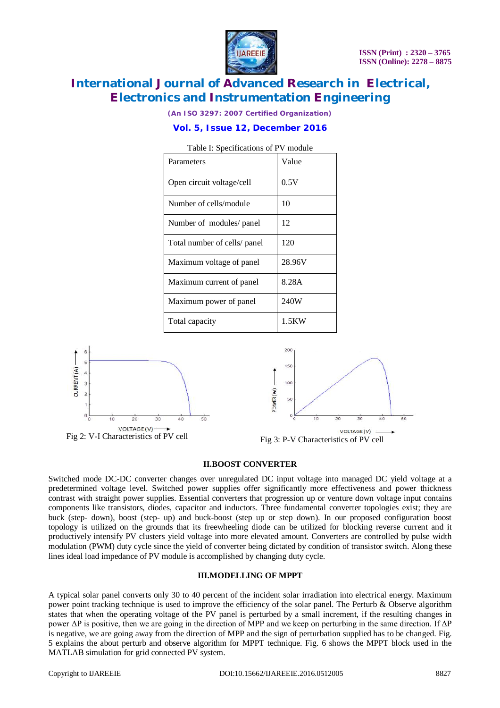

*(An ISO 3297: 2007 Certified Organization)*

### **Vol. 5, Issue 12, December 2016**

| I able 1. Specifications of F v inodule |        |
|-----------------------------------------|--------|
| Parameters                              | Value  |
| Open circuit voltage/cell               | 0.5V   |
| Number of cells/module                  | 10     |
| Number of modules/ panel                | 12     |
| Total number of cells/ panel            | 120    |
| Maximum voltage of panel                | 28.96V |
| Maximum current of panel                | 8.28A  |
| Maximum power of panel                  | 240W   |
| Total capacity                          | 1.5KW  |







#### **II.BOOST CONVERTER**

Switched mode DC-DC converter changes over unregulated DC input voltage into managed DC yield voltage at a predetermined voltage level. Switched power supplies offer significantly more effectiveness and power thickness contrast with straight power supplies. Essential converters that progression up or venture down voltage input contains components like transistors, diodes, capacitor and inductors. Three fundamental converter topologies exist; they are buck (step- down), boost (step- up) and buck-boost (step up or step down). In our proposed configuration boost topology is utilized on the grounds that its freewheeling diode can be utilized for blocking reverse current and it productively intensify PV clusters yield voltage into more elevated amount. Converters are controlled by pulse width modulation (PWM) duty cycle since the yield of converter being dictated by condition of transistor switch. Along these lines ideal load impedance of PV module is accomplished by changing duty cycle.

#### **III.MODELLING OF MPPT**

A typical solar panel converts only 30 to 40 percent of the incident solar irradiation into electrical energy. Maximum power point tracking technique is used to improve the efficiency of the solar panel. The Perturb & Observe algorithm states that when the operating voltage of the PV panel is perturbed by a small increment, if the resulting changes in power ΔP is positive, then we are going in the direction of MPP and we keep on perturbing in the same direction. If ΔP is negative, we are going away from the direction of MPP and the sign of perturbation supplied has to be changed. Fig. 5 explains the about perturb and observe algorithm for MPPT technique. Fig. 6 shows the MPPT block used in the MATLAB simulation for grid connected PV system.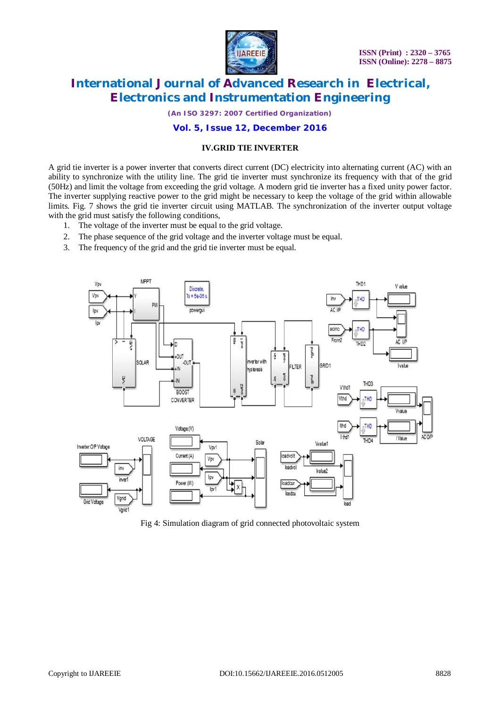

*(An ISO 3297: 2007 Certified Organization)*

#### **Vol. 5, Issue 12, December 2016**

#### **IV.GRID TIE INVERTER**

A grid tie inverter is a power inverter that converts direct current (DC) electricity into alternating current (AC) with an ability to synchronize with the utility line. The grid tie inverter must synchronize its frequency with that of the grid (50Hz) and limit the voltage from exceeding the grid voltage. A modern grid tie inverter has a fixed unity power factor. The inverter supplying reactive power to the grid might be necessary to keep the voltage of the grid within allowable limits. Fig. 7 shows the grid tie inverter circuit using MATLAB. The synchronization of the inverter output voltage with the grid must satisfy the following conditions,

- 1. The voltage of the inverter must be equal to the grid voltage.
- 2. The phase sequence of the grid voltage and the inverter voltage must be equal.
- 3. The frequency of the grid and the grid tie inverter must be equal.



Fig 4: Simulation diagram of grid connected photovoltaic system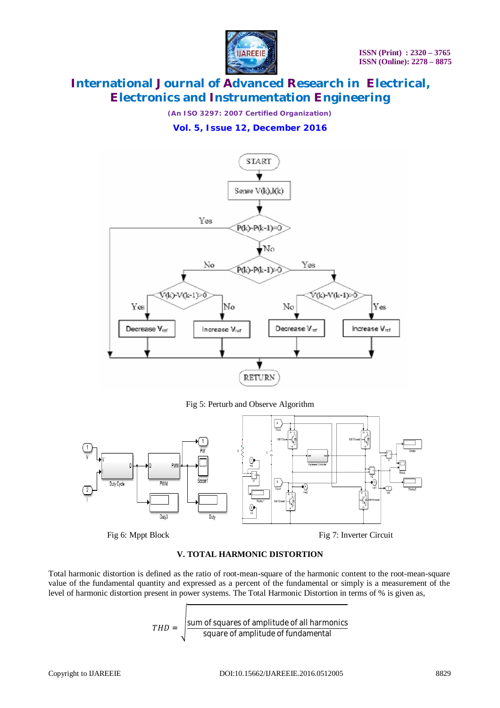

*(An ISO 3297: 2007 Certified Organization)*

### **Vol. 5, Issue 12, December 2016**



Fig 5: Perturb and Observe Algorithm



#### **V. TOTAL HARMONIC DISTORTION**

Total harmonic distortion is defined as the ratio of root-mean-square of the harmonic content to the root-mean-square value of the fundamental quantity and expressed as a percent of the fundamental or simply is a measurement of the level of harmonic distortion present in power systems. The Total Harmonic Distortion in terms of % is given as,

> $THD =$ |sum of squares of amplitude of all harmonics square of amplitude of fundamental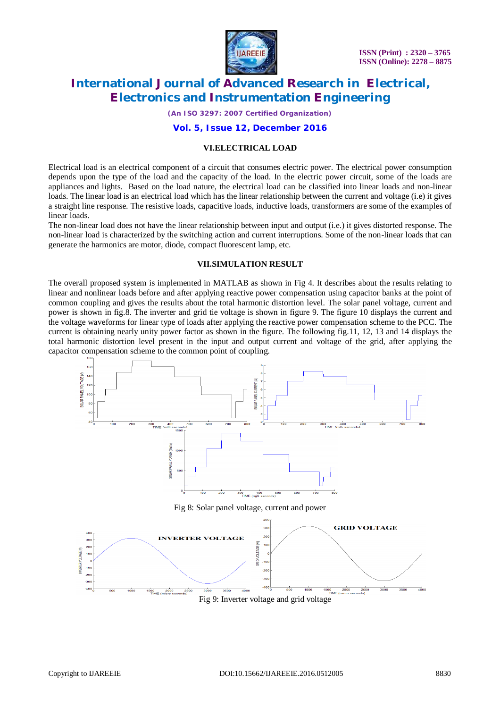

*(An ISO 3297: 2007 Certified Organization)*

#### **Vol. 5, Issue 12, December 2016**

#### **VI.ELECTRICAL LOAD**

Electrical load is an electrical component of a circuit that consumes electric power. The electrical power consumption depends upon the type of the load and the capacity of the load. In the electric power circuit, some of the loads are appliances and lights. Based on the load nature, the electrical load can be classified into linear loads and non-linear loads. The linear load is an electrical load which has the linear relationship between the current and voltage (i.e) it gives a straight line response. The resistive loads, capacitive loads, inductive loads, transformers are some of the examples of linear loads.

The non-linear load does not have the linear relationship between input and output (i.e.) it gives distorted response. The non-linear load is characterized by the switching action and current interruptions. Some of the non-linear loads that can generate the harmonics are motor, diode, compact fluorescent lamp, etc.

#### **VII.SIMULATION RESULT**

The overall proposed system is implemented in MATLAB as shown in Fig 4. It describes about the results relating to linear and nonlinear loads before and after applying reactive power compensation using capacitor banks at the point of common coupling and gives the results about the total harmonic distortion level. The solar panel voltage, current and power is shown in fig.8. The inverter and grid tie voltage is shown in figure 9. The figure 10 displays the current and the voltage waveforms for linear type of loads after applying the reactive power compensation scheme to the PCC. The current is obtaining nearly unity power factor as shown in the figure. The following fig.11, 12, 13 and 14 displays the total harmonic distortion level present in the input and output current and voltage of the grid, after applying the capacitor compensation scheme to the common point of coupling.



Fig 9: Inverter voltage and grid voltage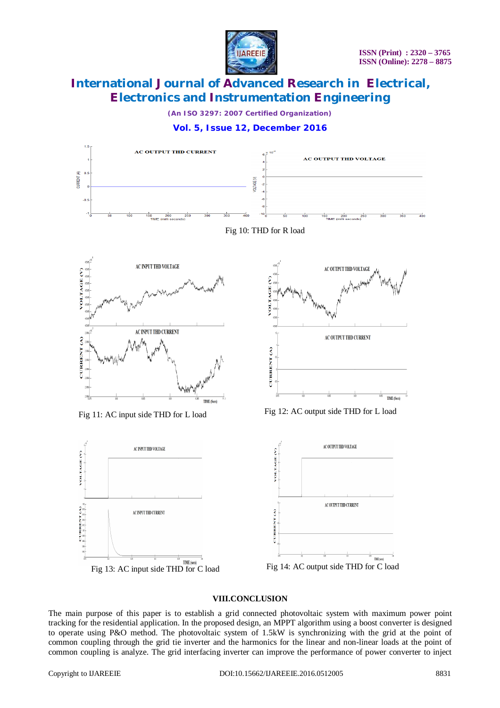

*(An ISO 3297: 2007 Certified Organization)*





#### **VIII.CONCLUSION**

The main purpose of this paper is to establish a grid connected photovoltaic system with maximum power point tracking for the residential application. In the proposed design, an MPPT algorithm using a boost converter is designed to operate using P&O method. The photovoltaic system of 1.5kW is synchronizing with the grid at the point of common coupling through the grid tie inverter and the harmonics for the linear and non-linear loads at the point of common coupling is analyze. The grid interfacing inverter can improve the performance of power converter to inject